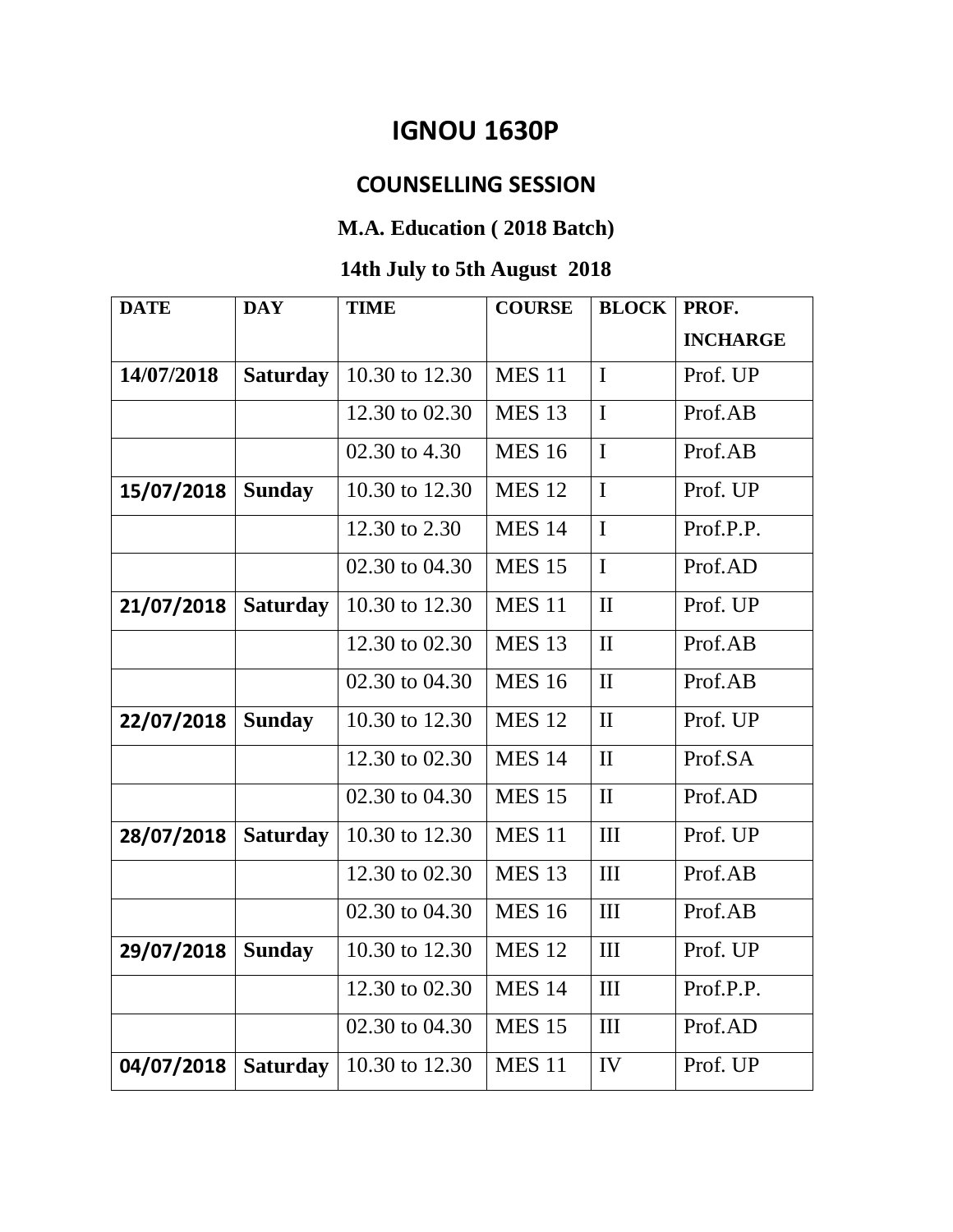## **IGNOU 1630P**

## **COUNSELLING SESSION**

## **M.A. Education ( 2018 Batch)**

## **14th July to 5th August 2018**

| <b>DATE</b> | <b>DAY</b>      | <b>TIME</b>    | <b>COURSE</b> | <b>BLOCK</b> | PROF.           |
|-------------|-----------------|----------------|---------------|--------------|-----------------|
|             |                 |                |               |              | <b>INCHARGE</b> |
| 14/07/2018  | <b>Saturday</b> | 10.30 to 12.30 | <b>MES 11</b> | $\mathbf I$  | Prof. UP        |
|             |                 | 12.30 to 02.30 | <b>MES 13</b> | $\mathbf I$  | Prof.AB         |
|             |                 | 02.30 to 4.30  | <b>MES 16</b> | $\mathbf I$  | Prof.AB         |
| 15/07/2018  | <b>Sunday</b>   | 10.30 to 12.30 | <b>MES 12</b> | $\mathbf I$  | Prof. UP        |
|             |                 | 12.30 to 2.30  | <b>MES 14</b> | $\mathbf I$  | Prof.P.P.       |
|             |                 | 02.30 to 04.30 | <b>MES 15</b> | $\mathbf I$  | Prof.AD         |
| 21/07/2018  | <b>Saturday</b> | 10.30 to 12.30 | <b>MES 11</b> | $\mathbf{I}$ | Prof. UP        |
|             |                 | 12.30 to 02.30 | <b>MES 13</b> | $\mathbf{I}$ | Prof.AB         |
|             |                 | 02.30 to 04.30 | <b>MES 16</b> | $\mathbf{I}$ | Prof.AB         |
| 22/07/2018  | <b>Sunday</b>   | 10.30 to 12.30 | <b>MES 12</b> | $\mathbf{I}$ | Prof. UP        |
|             |                 | 12.30 to 02.30 | <b>MES 14</b> | $\mathbf{I}$ | Prof.SA         |
|             |                 | 02.30 to 04.30 | <b>MES 15</b> | $\mathbf{I}$ | Prof.AD         |
| 28/07/2018  | <b>Saturday</b> | 10.30 to 12.30 | <b>MES 11</b> | III          | Prof. UP        |
|             |                 | 12.30 to 02.30 | <b>MES 13</b> | III          | Prof.AB         |
|             |                 | 02.30 to 04.30 | <b>MES 16</b> | III          | Prof.AB         |
| 29/07/2018  | <b>Sunday</b>   | 10.30 to 12.30 | <b>MES 12</b> | III          | Prof. UP        |
|             |                 | 12.30 to 02.30 | <b>MES 14</b> | III          | Prof.P.P.       |
|             |                 | 02.30 to 04.30 | <b>MES 15</b> | III          | Prof.AD         |
| 04/07/2018  | <b>Saturday</b> | 10.30 to 12.30 | <b>MES 11</b> | IV           | Prof. UP        |